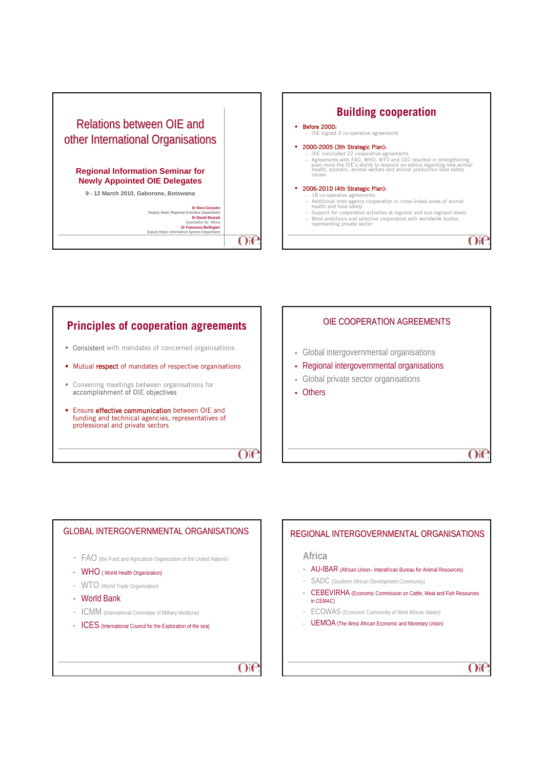



## **Principles of cooperation agreements**

- Consistent with mandates of concerned organisations
- Mutual respect of mandates of respective organisations
- Convening meetings between organisations for accomplishment of OIE objectives
- Ensure effective communication between OIE and funding and technical agencies, representatives of professional and private sectors

 $O$ i $\epsilon$ 

# OIE COOPERATION AGREEMENTS Global intergovernmental organisations Regional intergovernmental organisations Global private sector organisations Others

 $O(f)$ 

 $O$ i $e$ 

## GLOBAL INTERGOVERNMENTAL ORGANISATIONS - FAO (the Food and Agriculture Organization of the United Nations) - WHO ( World Health Organization) - WTO (World Trade Organization) - World Bank - ICMM (International Committee of Military Medicine) - ICES (International Council for the Exploration of the sea)  $O(f)$

## REGIONAL INTERGOVERNMENTAL ORGANISATIONS

#### **Africa**

- AU-IBAR (African Union– Interafrican Bureau for Animal Resources)
- SADC (Southern African Development Community)
- CEBEVIRHA (Economic Commission on Cattle, Meat and Fish Resources in CEMAC)
- ECOWAS (Economic Community of West African States)
- UEMOA (The West African Economic and Monetary Union)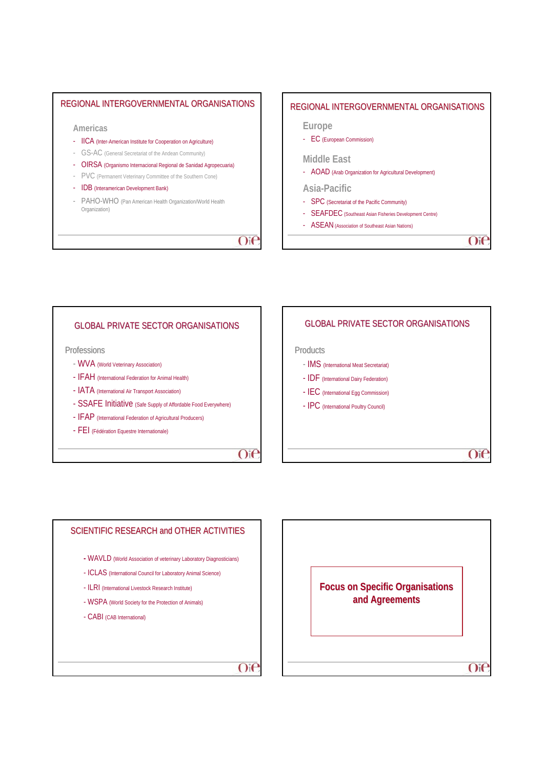## REGIONAL INTERGOVERNMENTAL ORGANISATIONS

#### **Americas**

- IICA (Inter-American Institute for Cooperation on Agriculture)
- GS-AC (General Secretariat of the Andean Community)
- OIRSA (Organismo Internacional Regional de Sanidad Agropecuaria)
- PVC (Permanent Veterinary Committee of the Southern Cone)
- IDB (Interamerican Development Bank)
- PAHO-WHO (Pan American Health Organization/World Health Organization)

## $Oif$

## REGIONAL INTERGOVERNMENTAL ORGANISATIONS

#### **Europe**

- EC (European Commission)

#### **Middle East**

- AOAD (Arab Organization for Agricultural Development)

## **Asia-Pacific**

- 
- SPC (Secretariat of the Pacific Community)
- SEAFDEC (Southeast Asian Fisheries Development Centre)
- ASEAN (Association of Southeast Asian Nations)

 $O$ ie

#### GLOBAL PRIVATE SECTOR ORGANISATIONS

**Professions** 

- WVA (World Veterinary Association)
- IFAH (International Federation for Animal Health)
- IATA (International Air Transport Association)
- SSAFE Initiative (Safe Supply of Affordable Food Everywhere)
- IFAP (International Federation of Agricultural Producers)
- FEI (Fédération Equestre Internationale)

 $O$ i $\epsilon$ 



# SCIENTIFIC RESEARCH and OTHER ACTIVITIES **-** WAVLD (World Association of veterinary Laboratory Diagnosticians) - ICLAS (International Council for Laboratory Animal Science) - ILRI (International Livestock Research Institute) - WSPA (World Society for the Protection of Animals) - CABI (CAB International)  $O$ i $\epsilon$

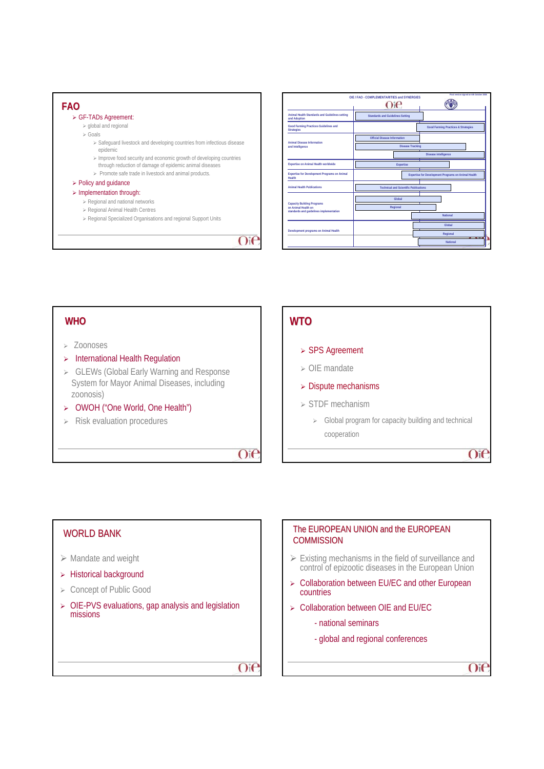



## **WHO**

#### <sup>¾</sup> Zoonoses

WORLD BANK

missions

 $\triangleright$  Mandate and weight ¾ Historical background ¾ Concept of Public Good

- $\triangleright$  International Health Regulation
- ¾ GLEWs (Global Early Warning and Response System for Mayor Animal Diseases, including zoonosis)

¾ OIE-PVS evaluations, gap analysis and legislation

- ¾ OWOH ("One World, One Health")
- $\triangleright$  Risk evaluation procedures

## **WTO**

### ¾ SPS Agreement

- $\triangleright$  OIE mandate
- $\triangleright$  Dispute mechanisms
- ¾ STDF mechanism
	- $\triangleright$  Global program for capacity building and technical cooperation

 $O$ i $\epsilon$ 

 $O<sub>i</sub>$ 

## The EUROPEAN UNION and the EUROPEAN **COMMISSION**  $\triangleright$  Existing mechanisms in the field of surveillance and control of epizootic diseases in the European Union ¾ Collaboration between EU/EC and other European countries

- ¾ Collaboration between OIE and EU/EC
	- national seminars
	- global and regional conferences

 $O$ ie

 $O(f)$